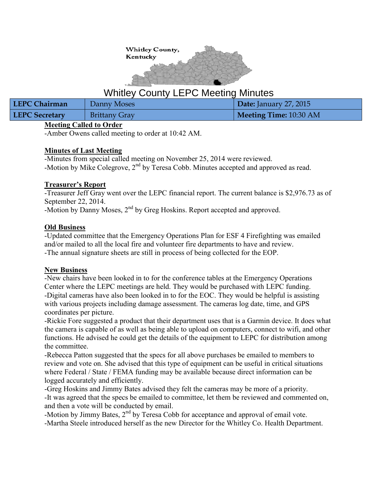

# Whitley County LEPC Meeting Minutes

| <b>LEPC Chairman</b>  | Danny Moses          | Date: January 27, 2015 |
|-----------------------|----------------------|------------------------|
| <b>LEPC Secretary</b> | <b>Brittany Gray</b> | Meeting Time: 10:30 AM |

#### **Meeting Called to Order**

-Amber Owens called meeting to order at 10:42 AM.

## **Minutes of Last Meeting**

-Minutes from special called meeting on November 25, 2014 were reviewed. -Motion by Mike Colegrove, 2<sup>nd</sup> by Teresa Cobb. Minutes accepted and approved as read.

## **Treasurer's Report**

-Treasurer Jeff Gray went over the LEPC financial report. The current balance is \$2,976.73 as of September 22, 2014.

-Motion by Danny Moses, 2<sup>nd</sup> by Greg Hoskins. Report accepted and approved.

## **Old Business**

-Updated committee that the Emergency Operations Plan for ESF 4 Firefighting was emailed and/or mailed to all the local fire and volunteer fire departments to have and review. -The annual signature sheets are still in process of being collected for the EOP.

## **New Business**

-New chairs have been looked in to for the conference tables at the Emergency Operations Center where the LEPC meetings are held. They would be purchased with LEPC funding. -Digital cameras have also been looked in to for the EOC. They would be helpful is assisting with various projects including damage assessment. The cameras log date, time, and GPS coordinates per picture.

-Rickie Fore suggested a product that their department uses that is a Garmin device. It does what the camera is capable of as well as being able to upload on computers, connect to wifi, and other functions. He advised he could get the details of the equipment to LEPC for distribution among the committee.

-Rebecca Patton suggested that the specs for all above purchases be emailed to members to review and vote on. She advised that this type of equipment can be useful in critical situations where Federal / State / FEMA funding may be available because direct information can be logged accurately and efficiently.

-Greg Hoskins and Jimmy Bates advised they felt the cameras may be more of a priority. -It was agreed that the specs be emailed to committee, let them be reviewed and commented on, and then a vote will be conducted by email.

-Motion by Jimmy Bates,  $2<sup>nd</sup>$  by Teresa Cobb for acceptance and approval of email vote. -Martha Steele introduced herself as the new Director for the Whitley Co. Health Department.